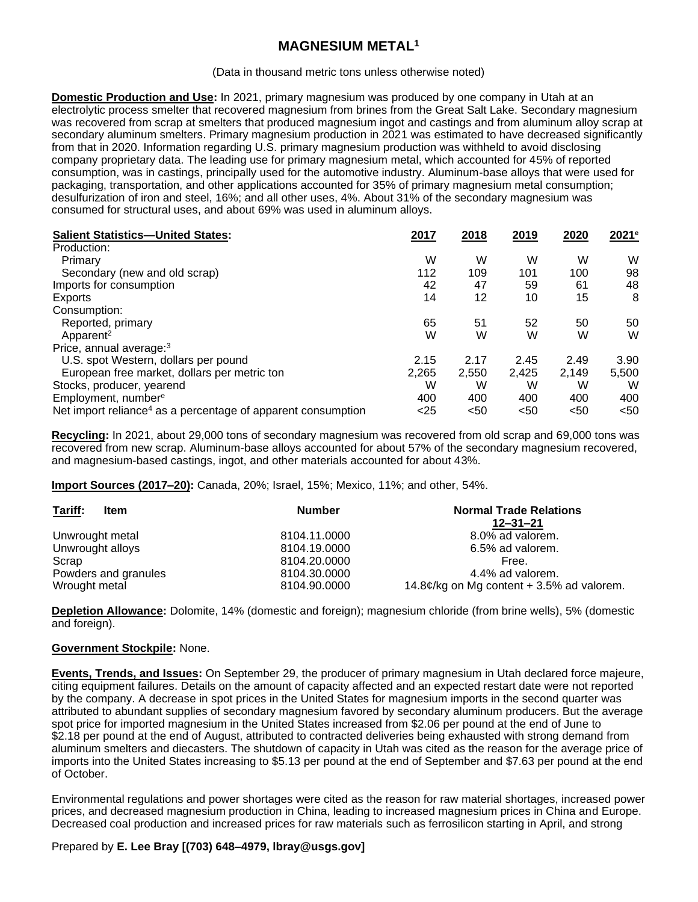# **MAGNESIUM METAL<sup>1</sup>**

#### (Data in thousand metric tons unless otherwise noted)

**Domestic Production and Use:** In 2021, primary magnesium was produced by one company in Utah at an electrolytic process smelter that recovered magnesium from brines from the Great Salt Lake. Secondary magnesium was recovered from scrap at smelters that produced magnesium ingot and castings and from aluminum alloy scrap at secondary aluminum smelters. Primary magnesium production in 2021 was estimated to have decreased significantly from that in 2020. Information regarding U.S. primary magnesium production was withheld to avoid disclosing company proprietary data. The leading use for primary magnesium metal, which accounted for 45% of reported consumption, was in castings, principally used for the automotive industry. Aluminum-base alloys that were used for packaging, transportation, and other applications accounted for 35% of primary magnesium metal consumption; desulfurization of iron and steel, 16%; and all other uses, 4%. About 31% of the secondary magnesium was consumed for structural uses, and about 69% was used in aluminum alloys.

| <b>Salient Statistics-United States:</b>                                 | 2017  | 2018  | 2019  | 2020  | 2021 <sup>e</sup> |
|--------------------------------------------------------------------------|-------|-------|-------|-------|-------------------|
| Production:                                                              |       |       |       |       |                   |
| Primary                                                                  | W     | W     | W     | W     | W                 |
| Secondary (new and old scrap)                                            | 112   | 109   | 101   | 100   | 98                |
| Imports for consumption                                                  | 42    | 47    | 59    | 61    | 48                |
| Exports                                                                  | 14    | 12    | 10    | 15    | 8                 |
| Consumption:                                                             |       |       |       |       |                   |
| Reported, primary                                                        | 65    | 51    | 52    | 50    | 50                |
| Apparent <sup>2</sup>                                                    | W     | W     | W     | W     | W                 |
| Price, annual average: <sup>3</sup>                                      |       |       |       |       |                   |
| U.S. spot Western, dollars per pound                                     | 2.15  | 2.17  | 2.45  | 2.49  | 3.90              |
| European free market, dollars per metric ton                             | 2,265 | 2,550 | 2.425 | 2.149 | 5,500             |
| Stocks, producer, yearend                                                | W     | W     | W     | W     | W                 |
| Employment, number <sup>e</sup>                                          | 400   | 400   | 400   | 400   | 400               |
| Net import reliance <sup>4</sup> as a percentage of apparent consumption | $25$  | $50$  | $50$  | $50$  | < 50              |

**Recycling:** In 2021, about 29,000 tons of secondary magnesium was recovered from old scrap and 69,000 tons was recovered from new scrap. Aluminum-base alloys accounted for about 57% of the secondary magnesium recovered, and magnesium-based castings, ingot, and other materials accounted for about 43%.

**Import Sources (2017–20):** Canada, 20%; Israel, 15%; Mexico, 11%; and other, 54%.

| Tariff:<br>Item      | <b>Number</b> | <b>Normal Trade Relations</b><br>12–31–21                       |
|----------------------|---------------|-----------------------------------------------------------------|
| Unwrought metal      | 8104.11.0000  | 8.0% ad valorem.                                                |
| Unwrought alloys     | 8104.19.0000  | 6.5% ad valorem.                                                |
| Scrap                | 8104.20.0000  | Free.                                                           |
| Powders and granules | 8104.30.0000  | 4.4% ad valorem.                                                |
| Wrought metal        | 8104.90.0000  | 14.8 $\mathcal{C}/\mathrm{kg}$ on Mg content + 3.5% ad valorem. |

**Depletion Allowance:** Dolomite, 14% (domestic and foreign); magnesium chloride (from brine wells), 5% (domestic and foreign).

### **Government Stockpile:** None.

**Events, Trends, and Issues:** On September 29, the producer of primary magnesium in Utah declared force majeure, citing equipment failures. Details on the amount of capacity affected and an expected restart date were not reported by the company. A decrease in spot prices in the United States for magnesium imports in the second quarter was attributed to abundant supplies of secondary magnesium favored by secondary aluminum producers. But the average spot price for imported magnesium in the United States increased from \$2.06 per pound at the end of June to \$2.18 per pound at the end of August, attributed to contracted deliveries being exhausted with strong demand from aluminum smelters and diecasters. The shutdown of capacity in Utah was cited as the reason for the average price of imports into the United States increasing to \$5.13 per pound at the end of September and \$7.63 per pound at the end of October.

Environmental regulations and power shortages were cited as the reason for raw material shortages, increased power prices, and decreased magnesium production in China, leading to increased magnesium prices in China and Europe. Decreased coal production and increased prices for raw materials such as ferrosilicon starting in April, and strong

## Prepared by **E. Lee Bray [(703) 648–4979, lbray@usgs.gov]**